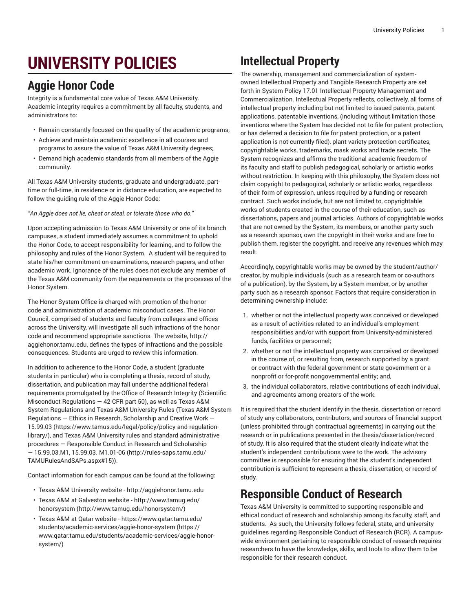# **UNIVERSITY POLICIES**

### **Aggie Honor Code**

Integrity is a fundamental core value of Texas A&M University. Academic integrity requires a commitment by all faculty, students, and administrators to:

- Remain constantly focused on the quality of the academic programs;
- Achieve and maintain academic excellence in all courses and programs to assure the value of Texas A&M University degrees;
- Demand high academic standards from all members of the Aggie community.

All Texas A&M University students, graduate and undergraduate, parttime or full-time, in residence or in distance education, are expected to follow the guiding rule of the Aggie Honor Code:

*"An Aggie does not lie, cheat or steal, or tolerate those who do."*

Upon accepting admission to Texas A&M University or one of its branch campuses, a student immediately assumes a commitment to uphold the Honor Code, to accept responsibility for learning, and to follow the philosophy and rules of the Honor System. A student will be required to state his/her commitment on examinations, research papers, and other academic work. Ignorance of the rules does not exclude any member of the Texas A&M community from the requirements or the processes of the Honor System.

The Honor System Office is charged with promotion of the honor code and administration of academic misconduct cases. The Honor Council, comprised of students and faculty from colleges and offices across the University, will investigate all such infractions of the honor code and recommend appropriate sanctions. The website, http:// aggiehonor.tamu.edu, defines the types of infractions and the possible consequences. Students are urged to review this information.

In addition to adherence to the Honor Code, a student (graduate students in particular) who is completing a thesis, record of study, dissertation, and publication may fall under the additional federal requirements promulgated by the Office of Research Integrity (Scientific Misconduct Regulations  $-$  42 CFR part 50), as well as Texas A&M System Regulations and Texas A&M University Rules (Texas A&M [System](https://www.tamus.edu/legal/policy/policy-and-regulation-library/) [Regulations](https://www.tamus.edu/legal/policy/policy-and-regulation-library/) — Ethics in Research, Scholarship and Creative Work — [15.99.03](https://www.tamus.edu/legal/policy/policy-and-regulation-library/) ([https://www.tamus.edu/legal/policy/policy-and-regulation](https://www.tamus.edu/legal/policy/policy-and-regulation-library/)[library/\)](https://www.tamus.edu/legal/policy/policy-and-regulation-library/), and Texas A&M University rules and standard administrative procedures — [Responsible](http://rules-saps.tamu.edu/TAMURulesAndSAPs.aspx#15) Conduct in Research and Scholarship [— 15.99.03.M1, 15.99.03. M1.01-06](http://rules-saps.tamu.edu/TAMURulesAndSAPs.aspx#15) ([http://rules-saps.tamu.edu/](http://rules-saps.tamu.edu/TAMURulesAndSAPs.aspx#15) [TAMURulesAndSAPs.aspx#15](http://rules-saps.tamu.edu/TAMURulesAndSAPs.aspx#15))).

Contact information for each campus can be found at the following:

- Texas A&M University website http://aggiehonor.tamu.edu
- Texas A&M at Galveston website [http://www.tamug.edu/](http://www.tamug.edu/honorsystem/) [honorsystem](http://www.tamug.edu/honorsystem/) ([http://www.tamug.edu/honorsystem/\)](http://www.tamug.edu/honorsystem/)
- Texas A&M at Qatar website [https://www.qatar.tamu.edu/](https://www.qatar.tamu.edu/students/academic-services/aggie-honor-system/) [students/academic-services/aggie-honor-system \(https://](https://www.qatar.tamu.edu/students/academic-services/aggie-honor-system/) [www.qatar.tamu.edu/students/academic-services/aggie-honor](https://www.qatar.tamu.edu/students/academic-services/aggie-honor-system/)[system/\)](https://www.qatar.tamu.edu/students/academic-services/aggie-honor-system/)

# **Intellectual Property**

The ownership, management and commercialization of systemowned Intellectual Property and Tangible Research Property are set forth in System Policy 17.01 Intellectual Property Management and Commercialization. Intellectual Property reflects, collectively, all forms of intellectual property including but not limited to issued patents, patent applications, patentable inventions, (including without limitation those inventions where the System has decided not to file for patent protection, or has deferred a decision to file for patent protection, or a patent application is not currently filed), plant variety protection certificates, copyrightable works, trademarks, mask works and trade secrets. The System recognizes and affirms the traditional academic freedom of its faculty and staff to publish pedagogical, scholarly or artistic works without restriction. In keeping with this philosophy, the System does not claim copyright to pedagogical, scholarly or artistic works, regardless of their form of expression, unless required by a funding or research contract. Such works include, but are not limited to, copyrightable works of students created in the course of their education, such as dissertations, papers and journal articles. Authors of copyrightable works that are not owned by the System, its members, or another party such as a research sponsor, own the copyright in their works and are free to publish them, register the copyright, and receive any revenues which may result.

Accordingly, copyrightable works may be owned by the student/author/ creator, by multiple individuals (such as a research team or co-authors of a publication), by the System, by a System member, or by another party such as a research sponsor. Factors that require consideration in determining ownership include:

- 1. whether or not the intellectual property was conceived or developed as a result of activities related to an individual's employment responsibilities and/or with support from University-administered funds, facilities or personnel;
- 2. whether or not the intellectual property was conceived or developed in the course of, or resulting from, research supported by a grant or contract with the federal government or state government or a nonprofit or for-profit nongovernmental entity; and,
- 3. the individual collaborators, relative contributions of each individual, and agreements among creators of the work.

It is required that the student identify in the thesis, dissertation or record of study any collaborators, contributors, and sources of financial support (unless prohibited through contractual agreements) in carrying out the research or in publications presented in the thesis/dissertation/record of study. It is also required that the student clearly indicate what the student's independent contributions were to the work. The advisory committee is responsible for ensuring that the student's independent contribution is sufficient to represent a thesis, dissertation, or record of study.

## **Responsible Conduct of Research**

Texas A&M University is committed to supporting responsible and ethical conduct of research and scholarship among its faculty, staff, and students. As such, the University follows federal, state, and university guidelines regarding Responsible Conduct of Research (RCR). A campuswide environment pertaining to responsible conduct of research requires researchers to have the knowledge, skills, and tools to allow them to be responsible for their research conduct.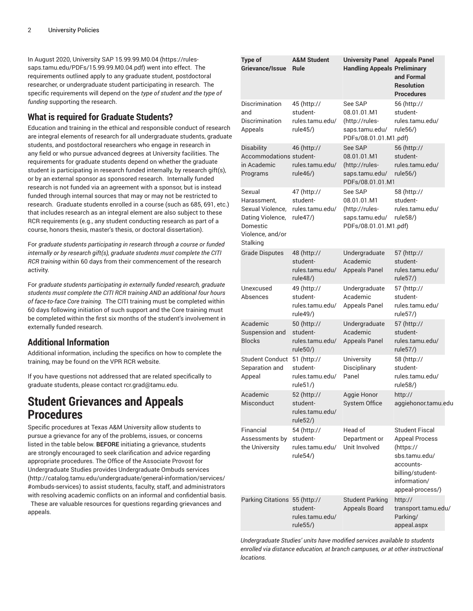In August 2020, University SAP [15.99.99.M0.04](https://rules-saps.tamu.edu/PDFs/15.99.99.M0.04.pdf) ([https://rules](https://rules-saps.tamu.edu/PDFs/15.99.99.M0.04.pdf)[saps.tamu.edu/PDFs/15.99.99.M0.04.pdf](https://rules-saps.tamu.edu/PDFs/15.99.99.M0.04.pdf)) went into effect. The requirements outlined apply to any graduate student, postdoctoral researcher, or undergraduate student participating in research. The specific requirements will depend on the *type of student and the type of funding* supporting the research.

#### **What is required for Graduate Students?**

Education and training in the ethical and responsible conduct of research are integral elements of research for all undergraduate students, graduate students, and postdoctoral researchers who engage in research in any field or who pursue advanced degrees at University facilities. The requirements for graduate students depend on whether the graduate student is participating in research funded internally, by research gift(s), or by an external sponsor as sponsored research. Internally funded research is not funded via an agreement with a sponsor, but is instead funded through internal sources that may or may not be restricted to research. Graduate students enrolled in a course (such as 685, 691, etc.) that includes research as an integral element are also subject to these RCR requirements (e.g., any student conducting research as part of a course, honors thesis, master's thesis, or doctoral dissertation).

For *graduate students participating in research through a course or funded internally or by research gift(s), graduate students must complete the CITI RCR training* within 60 days from their commencement of the research activity.

For *graduate students participating in externally funded research, graduate students must complete the CITI RCR training AND an additional four hours of face-to-face Core training.* The CITI training must be completed within 60 days following initiation of such support and the Core training must be completed within the first six months of the student's involvement in externally funded research.

#### **Additional Information**

Additional information, including the specifics on how to complete the training, may be found on the VPR RCR website.

If you have questions not addressed that are related specifically to graduate students, please contact [rcr.grad@tamu.edu](mailto:rcr.grad@tamu.edu).

### **Student Grievances and Appeals Procedures**

Specific procedures at Texas A&M University allow students to pursue a grievance for any of the problems, issues, or concerns listed in the table below. **BEFORE** initiating a grievance, students are strongly encouraged to seek clarification and advice regarding appropriate procedures. The Office of the Associate Provost for Undergraduate Studies provides [Undergraduate](http://catalog.tamu.edu/undergraduate/general-information/services/#ombuds-services) Ombuds services ([http://catalog.tamu.edu/undergraduate/general-information/services/](http://catalog.tamu.edu/undergraduate/general-information/services/#ombuds-services) [#ombuds-services](http://catalog.tamu.edu/undergraduate/general-information/services/#ombuds-services)) to assist students, faculty, staff, and administrators with resolving academic conflicts on an informal and confidential basis.

These are valuable resources for questions regarding grievances and appeals.

| Type of<br>Grievance/Issue                                                                                | <b>A&amp;M Student</b><br><b>Rule</b>                  | <b>University Panel</b><br><b>Handling Appeals Preliminary</b>                      | <b>Appeals Panel</b><br>and Formal<br><b>Resolution</b><br><b>Procedures</b>                                                                      |
|-----------------------------------------------------------------------------------------------------------|--------------------------------------------------------|-------------------------------------------------------------------------------------|---------------------------------------------------------------------------------------------------------------------------------------------------|
| Discrimination<br>and<br>Discrimination<br>Appeals                                                        | 45 (http://<br>student-<br>rules.tamu.edu/<br>rule45/) | See SAP<br>08.01.01.M1<br>(http://rules-<br>saps.tamu.edu/<br>PDFs/08.01.01.M1.pdf) | 56 (http://<br>student-<br>rules.tamu.edu/<br>rule56/)                                                                                            |
| Disability<br>Accommodations student-<br>in Academic<br>Programs                                          | 46 (http://<br>rules.tamu.edu/<br>rule46/)             | See SAP<br>08.01.01.M1<br>(http://rules-<br>saps.tamu.edu/<br>PDFs/08.01.01.M1      | 56 (http://<br>student-<br>rules.tamu.edu/<br>rule56/)                                                                                            |
| Sexual<br>Harassment.<br>Sexual Violence.<br>Dating Violence,<br>Domestic<br>Violence, and/or<br>Stalking | 47 (http://<br>student-<br>rules.tamu.edu/<br>rule47/) | See SAP<br>08.01.01.M1<br>(http://rules-<br>saps.tamu.edu/<br>PDFs/08.01.01.M1.pdf) | 58 (http://<br>student-<br>rules.tamu.edu/<br>rule58/)                                                                                            |
| <b>Grade Disputes</b>                                                                                     | 48 (http://<br>student-<br>rules.tamu.edu/<br>rule48/) | Undergraduate<br>Academic<br><b>Appeals Panel</b>                                   | 57 (http://<br>student-<br>rules.tamu.edu/<br>rule57/)                                                                                            |
| Unexcused<br>Absences                                                                                     | 49 (http://<br>student-<br>rules.tamu.edu/<br>rule49/) | Undergraduate<br>Academic<br><b>Appeals Panel</b>                                   | 57 (http://<br>student-<br>rules.tamu.edu/<br>rule57/)                                                                                            |
| Academic<br>Suspension and<br><b>Blocks</b>                                                               | 50 (http://<br>student-<br>rules.tamu.edu/<br>rule50/) | Undergraduate<br>Academic<br><b>Appeals Panel</b>                                   | 57 (http://<br>student-<br>rules.tamu.edu/<br>rule57/)                                                                                            |
| <b>Student Conduct</b><br>Separation and<br>Appeal                                                        | 51 (http://<br>student-<br>rules.tamu.edu/<br>rule51/) | University<br>Disciplinary<br>Panel                                                 | 58 (http://<br>student-<br>rules.tamu.edu/<br>rule58/)                                                                                            |
| Academic<br>Misconduct                                                                                    | 52 (http://<br>student-<br>rules.tamu.edu/<br>rule52/) | Aggie Honor<br>System Office                                                        | http://<br>aggiehonor.tamu.edu                                                                                                                    |
| Financial<br>Assessments by<br>the University                                                             | 54 (http://<br>student-<br>rules.tamu.edu/<br>rule54/) | Head of<br>Department or<br>Unit Involved                                           | <b>Student Fiscal</b><br><b>Appeal Process</b><br>(https://<br>sbs.tamu.edu/<br>accounts-<br>billing/student-<br>information/<br>appeal-process/) |
| Parking Citations 55 (http://                                                                             | student-<br>rules.tamu.edu/<br>rule55/)                | <b>Student Parking</b><br><b>Appeals Board</b>                                      | http://<br>transport.tamu.edu/<br>Parking/<br>appeal.aspx                                                                                         |

*Undergraduate Studies' units have modified services available to students enrolled via distance education, at branch campuses, or at other instructional locations.*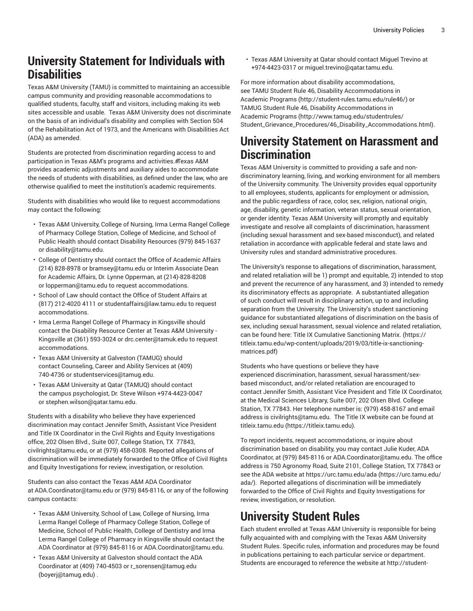### **University Statement for Individuals with Disabilities**

Texas A&M University (TAMU) is committed to maintaining an accessible campus community and providing reasonable accommodations to qualified students, faculty, staff and visitors, including making its web sites accessible and usable. Texas A&M University does not discriminate on the basis of an individual's disability and complies with Section 504 of the Rehabilitation Act of 1973, and the Americans with Disabilities Act (ADA) as amended.

Students are protected from discrimination regarding access to and participation in Texas A&M's programs and activities.#Texas A&M provides academic adjustments and auxiliary aides to accommodate the needs of students with disabilities, as defined under the law, who are otherwise qualified to meet the institution's academic requirements.

Students with disabilities who would like to request accommodations may contact the following:

- Texas A&M University, College of Nursing, Irma Lerma Rangel College of Pharmacy College Station, College of Medicine, and School of Public Health should contact Disability Resources (979) 845-1637 or [disability@tamu.edu](mailto:disability@tamu.edu).
- College of Dentistry should contact the Office of Academic Affairs (214) 828-8978 or [bramsey@tamu.edu](mailto:bramsey@tamu.edu) or Interim Associate Dean for Academic Affairs, Dr. Lynne Opperman, at (214)-828-8208 or [lopperman@tamu.edu](mailto:lopperman@tamu.edu) to request accommodations.
- School of Law should contact the Office of Student Affairs at (817) 212-4020 4111 or [studentaffairs@law.tamu.edu](mailto:studentaffairs@law.tamu.edu) to request accommodations.
- Irma Lerma Rangel College of Pharmacy in Kingsville should contact the Disability Resource Center at Texas A&M University - Kingsville at (361) 593-3024 or [drc.center@tamuk.edu](mailto:drc.center@tamuk.edu) to request accommodations.
- Texas A&M University at Galveston (TAMUG) should contact Counseling, Career and Ability Services at (409) 740-4736 or [studentservices@tamug.edu](mailto:studentservices@tamug.edu).
- Texas A&M University at Qatar (TAMUQ) should contact the campus psychologist, Dr. Steve Wilson +974-4423-0047 or [stephen.wilson@qatar.tamu.edu](mailto:stephen.wilson@qatar.tamu.edu).

Students with a disability who believe they have experienced discrimination may contact Jennifer Smith, Assistant Vice President and Title IX Coordinator in the Civil Rights and Equity Investigations office, 202 Olsen Blvd., Suite 007, College Station, TX 77843, [civilrights@tamu.edu](mailto:civilrights@tamu.edu), or at (979) 458-0308. Reported allegations of discrimination will be immediately forwarded to the Office of Civil Rights and Equity Investigations for review, investigation, or resolution.

Students can also contact the Texas A&M ADA Coordinator at [ADA.Coordinator@tamu.edu](mailto:ADA.Coordinator@tamu.edu) or (979) 845-8116, or any of the following campus contacts:

- Texas A&M University, School of Law, College of Nursing, Irma Lerma Rangel College of Pharmacy College Station, College of Medicine, School of Public Health, College of Dentistry and Irma Lerma Rangel College of Pharmacy in Kingsville should contact the ADA Coordinator at (979) 845-8116 or [ADA.Coordinator@tamu.edu](mailto:ADA.Coordinator@tamu.edu).
- Texas A&M University at Galveston should contact the ADA Coordinator at (409) 740-4503 or [r\\_sorensen@tamug.edu](mailto:boyerj@tamug.edu) ([boyerj@tamug.edu\)](boyerj@tamug.edu) .

• Texas A&M University at Qatar should contact Miguel Trevino at +974-4423-0317 or [miguel.trevino@qatar.tamu.edu.](mailto:miguel.trevino@qatar.tamu.edu)

For more information about disability accommodations, see TAMU Student Rule [46, Disability Accommodations in](http://student-rules.tamu.edu/rule46/) [Academic](http://student-rules.tamu.edu/rule46/) Programs (<http://student-rules.tamu.edu/rule46/>) or TAMUG Student Rule [46, Disability Accommodations in](http://www.tamug.edu/studentrules/Student_Grievance_Procedures/46_Disability_Accommodations.html) [Academic](http://www.tamug.edu/studentrules/Student_Grievance_Procedures/46_Disability_Accommodations.html) Programs ([http://www.tamug.edu/studentrules/](http://www.tamug.edu/studentrules/Student_Grievance_Procedures/46_Disability_Accommodations.html) [Student\\_Grievance\\_Procedures/46\\_Disability\\_Accommodations.html\)](http://www.tamug.edu/studentrules/Student_Grievance_Procedures/46_Disability_Accommodations.html).

### **University Statement on Harassment and Discrimination**

Texas A&M University is committed to providing a safe and nondiscriminatory learning, living, and working environment for all members of the University community. The University provides equal opportunity to all employees, students, applicants for employment or admission, and the public regardless of race, color, sex, religion, national origin, age, disability, genetic information, veteran status, sexual orientation, or gender identity. Texas A&M University will promptly and equitably investigate and resolve all complaints of discrimination, harassment (including sexual harassment and sex-based misconduct), and related retaliation in accordance with applicable federal and state laws and University rules and standard administrative procedures.

The University's response to allegations of discrimination, harassment, and related retaliation will be 1) prompt and equitable, 2) intended to stop and prevent the recurrence of any harassment, and 3) intended to remedy its discriminatory effects as appropriate. A substantiated allegation of such conduct will result in disciplinary action, up to and including separation from the University. The University's student sanctioning guidance for substantiated allegations of discrimination on the basis of sex, including sexual harassment, sexual violence and related retaliation, can be found here: Title IX Cumulative [Sanctioning](https://titleix.tamu.edu/wp-content/uploads/2019/03/title-ix-sanctioning-matrices.pdf) Matrix. [\(https://](https://titleix.tamu.edu/wp-content/uploads/2019/03/title-ix-sanctioning-matrices.pdf) [titleix.tamu.edu/wp-content/uploads/2019/03/title-ix-sanctioning](https://titleix.tamu.edu/wp-content/uploads/2019/03/title-ix-sanctioning-matrices.pdf)[matrices.pdf\)](https://titleix.tamu.edu/wp-content/uploads/2019/03/title-ix-sanctioning-matrices.pdf)

Students who have questions or believe they have experienced discrimination, harassment, sexual harassment/sexbased misconduct, and/or related retaliation are encouraged to contact Jennifer Smith, Assistant Vice President and Title IX Coordinator, at the Medical Sciences Library, Suite 007, 202 Olsen Blvd. College Station, TX 77843. Her telephone number is: (979) 458-8167 and email address is [civilrights@tamu.edu.](mailto:civilrights@tamu.edu) The Title IX website can be found at [titleix.tamu.edu](https://titleix.tamu.edu) [\(https://titleix.tamu.edu\)](https://titleix.tamu.edu).

To report incidents, request accommodations, or inquire about discrimination based on disability, you may contact Julie Kuder, ADA Coordinator, at (979) 845-8116 or [ADA.Coordinator@tamu.edu.](mailto:ADA.Coordinator@tamu.edu) The office address is 750 Agronomy Road, Suite 2101, College Station, TX 77843 or see the ADA website at [https://urc.tamu.edu/ada](https://urc.tamu.edu/ada/) ([https://urc.tamu.edu/](https://urc.tamu.edu/ada/) [ada/](https://urc.tamu.edu/ada/)). Reported allegations of discrimination will be immediately forwarded to the Office of Civil Rights and Equity Investigations for review, investigation, or resolution.

### **University Student Rules**

Each student enrolled at Texas A&M University is responsible for being fully acquainted with and complying with the Texas A&M University Student Rules. Specific rules, information and procedures may be found in publications pertaining to each particular service or department. Students are encouraged to reference the website at [http://student-](http://student-rules.tamu.edu/)